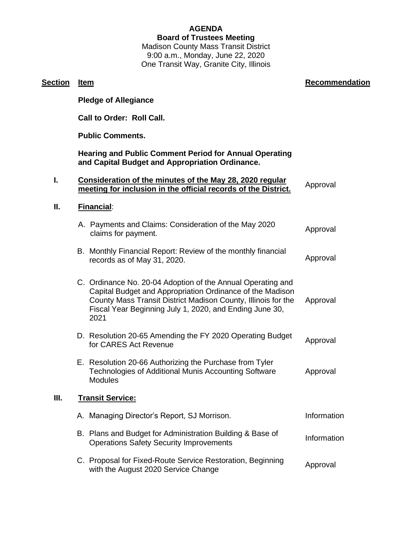# **AGENDA**

## **Board of Trustees Meeting**

Madison County Mass Transit District 9:00 a.m., Monday, June 22, 2020 One Transit Way, Granite City, Illinois

| <b>Section</b> | <u>Item</u>                                                                                                                                                                                                                                                  | <b>Recommendation</b> |
|----------------|--------------------------------------------------------------------------------------------------------------------------------------------------------------------------------------------------------------------------------------------------------------|-----------------------|
|                | <b>Pledge of Allegiance</b>                                                                                                                                                                                                                                  |                       |
|                | <b>Call to Order: Roll Call.</b>                                                                                                                                                                                                                             |                       |
|                | <b>Public Comments.</b>                                                                                                                                                                                                                                      |                       |
|                | <b>Hearing and Public Comment Period for Annual Operating</b><br>and Capital Budget and Appropriation Ordinance.                                                                                                                                             |                       |
| I.             | Consideration of the minutes of the May 28, 2020 regular<br>meeting for inclusion in the official records of the District.                                                                                                                                   | Approval              |
| Ⅱ.             | Financial:                                                                                                                                                                                                                                                   |                       |
|                | A. Payments and Claims: Consideration of the May 2020<br>claims for payment.                                                                                                                                                                                 | Approval              |
|                | B. Monthly Financial Report: Review of the monthly financial<br>records as of May 31, 2020.                                                                                                                                                                  | Approval              |
|                | C. Ordinance No. 20-04 Adoption of the Annual Operating and<br>Capital Budget and Appropriation Ordinance of the Madison<br>County Mass Transit District Madison County, Illinois for the<br>Fiscal Year Beginning July 1, 2020, and Ending June 30,<br>2021 | Approval              |
|                | D. Resolution 20-65 Amending the FY 2020 Operating Budget<br>for CARES Act Revenue                                                                                                                                                                           | Approval              |
|                | E. Resolution 20-66 Authorizing the Purchase from Tyler<br><b>Technologies of Additional Munis Accounting Software</b><br><b>Modules</b>                                                                                                                     | Approval              |
| Ш.             | <b>Transit Service:</b>                                                                                                                                                                                                                                      |                       |
|                | A. Managing Director's Report, SJ Morrison.                                                                                                                                                                                                                  | Information           |
|                | B. Plans and Budget for Administration Building & Base of<br><b>Operations Safety Security Improvements</b>                                                                                                                                                  | Information           |
|                | C. Proposal for Fixed-Route Service Restoration, Beginning<br>with the August 2020 Service Change                                                                                                                                                            | Approval              |